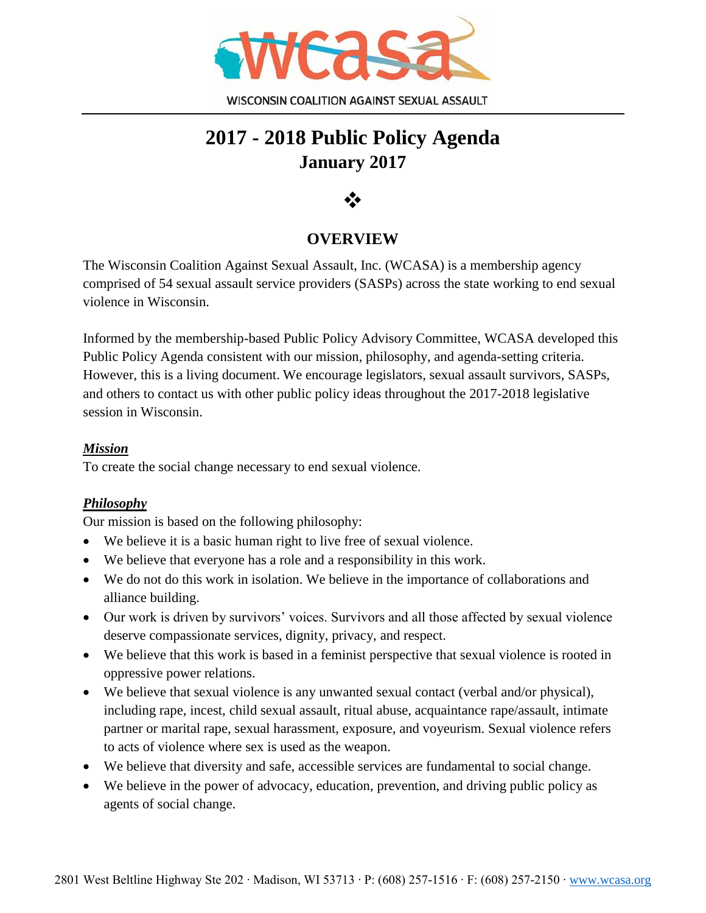

# **2017 - 2018 Public Policy Agenda January 2017**



## **OVERVIEW**

The Wisconsin Coalition Against Sexual Assault, Inc. (WCASA) is a membership agency comprised of 54 sexual assault service providers (SASPs) across the state working to end sexual violence in Wisconsin.

Informed by the membership-based Public Policy Advisory Committee, WCASA developed this Public Policy Agenda consistent with our mission, philosophy, and agenda-setting criteria. However, this is a living document. We encourage legislators, sexual assault survivors, SASPs, and others to contact us with other public policy ideas throughout the 2017-2018 legislative session in Wisconsin.

#### *Mission*

To create the social change necessary to end sexual violence.

#### *Philosophy*

Our mission is based on the following philosophy:

- We believe it is a basic human right to live free of sexual violence.
- We believe that everyone has a role and a responsibility in this work.
- We do not do this work in isolation. We believe in the importance of collaborations and alliance building.
- Our work is driven by survivors' voices. Survivors and all those affected by sexual violence deserve compassionate services, dignity, privacy, and respect.
- We believe that this work is based in a feminist perspective that sexual violence is rooted in oppressive power relations.
- We believe that sexual violence is any unwanted sexual contact (verbal and/or physical), including rape, incest, child sexual assault, ritual abuse, acquaintance rape/assault, intimate partner or marital rape, sexual harassment, exposure, and voyeurism. Sexual violence refers to acts of violence where sex is used as the weapon.
- We believe that diversity and safe, accessible services are fundamental to social change.
- We believe in the power of advocacy, education, prevention, and driving public policy as agents of social change.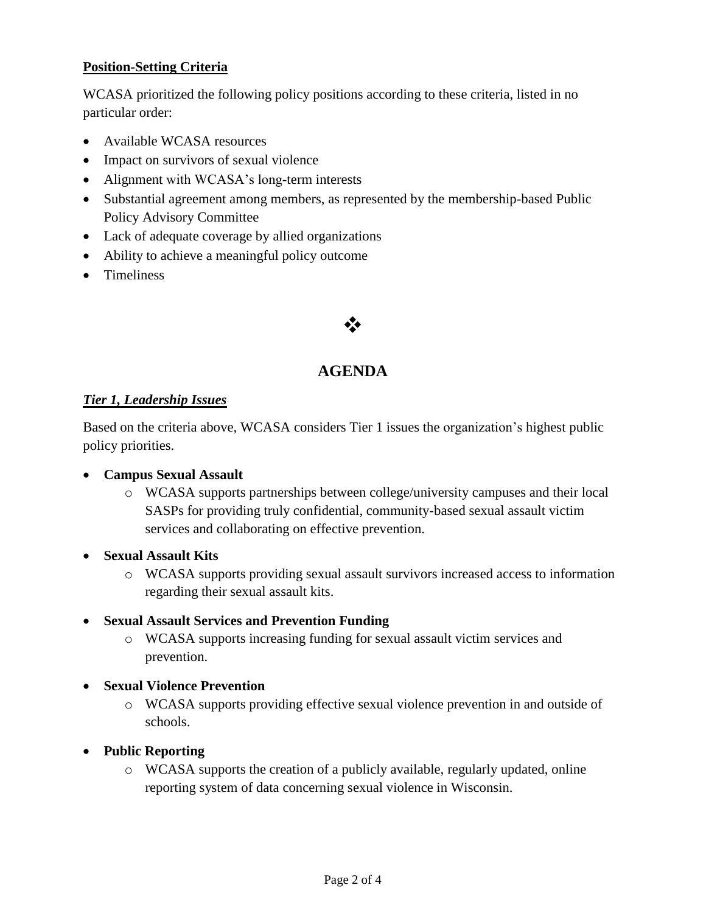#### **Position-Setting Criteria**

WCASA prioritized the following policy positions according to these criteria, listed in no particular order:

- Available WCASA resources
- Impact on survivors of sexual violence
- Alignment with WCASA's long-term interests
- Substantial agreement among members, as represented by the membership-based Public Policy Advisory Committee
- Lack of adequate coverage by allied organizations
- Ability to achieve a meaningful policy outcome
- **•** Timeliness

## ❖

#### **AGENDA**

#### *Tier 1, Leadership Issues*

Based on the criteria above, WCASA considers Tier 1 issues the organization's highest public policy priorities.

#### **Campus Sexual Assault**

- o WCASA supports partnerships between college/university campuses and their local SASPs for providing truly confidential, community-based sexual assault victim services and collaborating on effective prevention.
- **Sexual Assault Kits**
	- o WCASA supports providing sexual assault survivors increased access to information regarding their sexual assault kits.

#### **Sexual Assault Services and Prevention Funding**

o WCASA supports increasing funding for sexual assault victim services and prevention.

#### **Sexual Violence Prevention**

- o WCASA supports providing effective sexual violence prevention in and outside of schools.
- **Public Reporting**
	- o WCASA supports the creation of a publicly available, regularly updated, online reporting system of data concerning sexual violence in Wisconsin.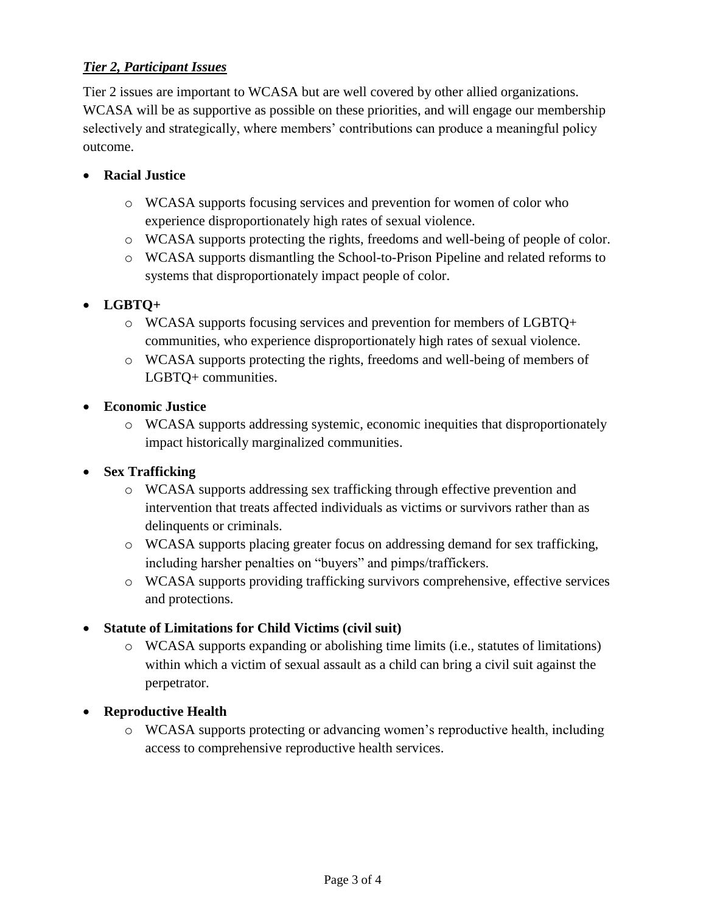#### *Tier 2, Participant Issues*

Tier 2 issues are important to WCASA but are well covered by other allied organizations. WCASA will be as supportive as possible on these priorities, and will engage our membership selectively and strategically, where members' contributions can produce a meaningful policy outcome.

#### **Racial Justice**

- o WCASA supports focusing services and prevention for women of color who experience disproportionately high rates of sexual violence.
- o WCASA supports protecting the rights, freedoms and well-being of people of color.
- o WCASA supports dismantling the School-to-Prison Pipeline and related reforms to systems that disproportionately impact people of color.

#### **LGBTQ+**

- o WCASA supports focusing services and prevention for members of LGBTQ+ communities, who experience disproportionately high rates of sexual violence.
- o WCASA supports protecting the rights, freedoms and well-being of members of LGBTQ+ communities.
- **Economic Justice**
	- o WCASA supports addressing systemic, economic inequities that disproportionately impact historically marginalized communities.

#### **Sex Trafficking**

- o WCASA supports addressing sex trafficking through effective prevention and intervention that treats affected individuals as victims or survivors rather than as delinquents or criminals.
- o WCASA supports placing greater focus on addressing demand for sex trafficking, including harsher penalties on "buyers" and pimps/traffickers.
- o WCASA supports providing trafficking survivors comprehensive, effective services and protections.

#### **Statute of Limitations for Child Victims (civil suit)**

- o WCASA supports expanding or abolishing time limits (i.e., statutes of limitations) within which a victim of sexual assault as a child can bring a civil suit against the perpetrator.
- **Reproductive Health**
	- o WCASA supports protecting or advancing women's reproductive health, including access to comprehensive reproductive health services.